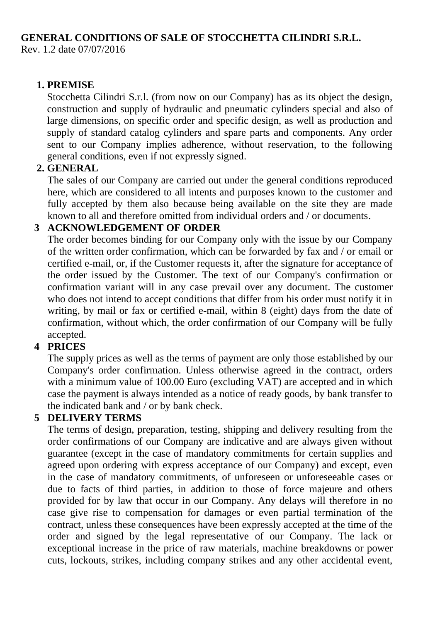## **GENERAL CONDITIONS OF SALE OF STOCCHETTA CILINDRI S.R.L.**

Rev. 1.2 date 07/07/2016

#### **1. PREMISE**

Stocchetta Cilindri S.r.l. (from now on our Company) has as its object the design, construction and supply of hydraulic and pneumatic cylinders special and also of large dimensions, on specific order and specific design, as well as production and supply of standard catalog cylinders and spare parts and components. Any order sent to our Company implies adherence, without reservation, to the following general conditions, even if not expressly signed.

#### **2. GENERAL**

The sales of our Company are carried out under the general conditions reproduced here, which are considered to all intents and purposes known to the customer and fully accepted by them also because being available on the site they are made known to all and therefore omitted from individual orders and / or documents.

#### **3 ACKNOWLEDGEMENT OF ORDER**

The order becomes binding for our Company only with the issue by our Company of the written order confirmation, which can be forwarded by fax and / or email or certified e-mail, or, if the Customer requests it, after the signature for acceptance of the order issued by the Customer. The text of our Company's confirmation or confirmation variant will in any case prevail over any document. The customer who does not intend to accept conditions that differ from his order must notify it in writing, by mail or fax or certified e-mail, within 8 (eight) days from the date of confirmation, without which, the order confirmation of our Company will be fully accepted.

### **4 PRICES**

The supply prices as well as the terms of payment are only those established by our Company's order confirmation. Unless otherwise agreed in the contract, orders with a minimum value of 100.00 Euro (excluding VAT) are accepted and in which case the payment is always intended as a notice of ready goods, by bank transfer to the indicated bank and / or by bank check.

#### **5 DELIVERY TERMS**

The terms of design, preparation, testing, shipping and delivery resulting from the order confirmations of our Company are indicative and are always given without guarantee (except in the case of mandatory commitments for certain supplies and agreed upon ordering with express acceptance of our Company) and except, even in the case of mandatory commitments, of unforeseen or unforeseeable cases or due to facts of third parties, in addition to those of force majeure and others provided for by law that occur in our Company. Any delays will therefore in no case give rise to compensation for damages or even partial termination of the contract, unless these consequences have been expressly accepted at the time of the order and signed by the legal representative of our Company. The lack or exceptional increase in the price of raw materials, machine breakdowns or power cuts, lockouts, strikes, including company strikes and any other accidental event,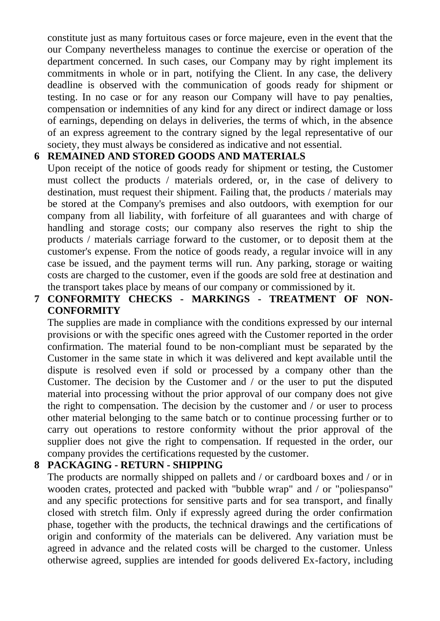constitute just as many fortuitous cases or force majeure, even in the event that the our Company nevertheless manages to continue the exercise or operation of the department concerned. In such cases, our Company may by right implement its commitments in whole or in part, notifying the Client. In any case, the delivery deadline is observed with the communication of goods ready for shipment or testing. In no case or for any reason our Company will have to pay penalties, compensation or indemnities of any kind for any direct or indirect damage or loss of earnings, depending on delays in deliveries, the terms of which, in the absence of an express agreement to the contrary signed by the legal representative of our society, they must always be considered as indicative and not essential.

### **6 REMAINED AND STORED GOODS AND MATERIALS**

Upon receipt of the notice of goods ready for shipment or testing, the Customer must collect the products / materials ordered, or, in the case of delivery to destination, must request their shipment. Failing that, the products / materials may be stored at the Company's premises and also outdoors, with exemption for our company from all liability, with forfeiture of all guarantees and with charge of handling and storage costs; our company also reserves the right to ship the products / materials carriage forward to the customer, or to deposit them at the customer's expense. From the notice of goods ready, a regular invoice will in any case be issued, and the payment terms will run. Any parking, storage or waiting costs are charged to the customer, even if the goods are sold free at destination and the transport takes place by means of our company or commissioned by it.

### **7 CONFORMITY CHECKS - MARKINGS - TREATMENT OF NON-CONFORMITY**

The supplies are made in compliance with the conditions expressed by our internal provisions or with the specific ones agreed with the Customer reported in the order confirmation. The material found to be non-compliant must be separated by the Customer in the same state in which it was delivered and kept available until the dispute is resolved even if sold or processed by a company other than the Customer. The decision by the Customer and / or the user to put the disputed material into processing without the prior approval of our company does not give the right to compensation. The decision by the customer and / or user to process other material belonging to the same batch or to continue processing further or to carry out operations to restore conformity without the prior approval of the supplier does not give the right to compensation. If requested in the order, our company provides the certifications requested by the customer.

### **8 PACKAGING - RETURN - SHIPPING**

The products are normally shipped on pallets and / or cardboard boxes and / or in wooden crates, protected and packed with "bubble wrap" and / or "poliespanso" and any specific protections for sensitive parts and for sea transport, and finally closed with stretch film. Only if expressly agreed during the order confirmation phase, together with the products, the technical drawings and the certifications of origin and conformity of the materials can be delivered. Any variation must be agreed in advance and the related costs will be charged to the customer. Unless otherwise agreed, supplies are intended for goods delivered Ex-factory, including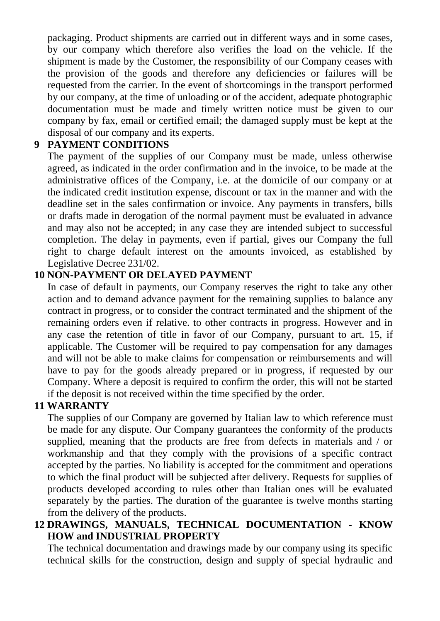packaging. Product shipments are carried out in different ways and in some cases, by our company which therefore also verifies the load on the vehicle. If the shipment is made by the Customer, the responsibility of our Company ceases with the provision of the goods and therefore any deficiencies or failures will be requested from the carrier. In the event of shortcomings in the transport performed by our company, at the time of unloading or of the accident, adequate photographic documentation must be made and timely written notice must be given to our company by fax, email or certified email; the damaged supply must be kept at the disposal of our company and its experts.

#### **9 PAYMENT CONDITIONS**

The payment of the supplies of our Company must be made, unless otherwise agreed, as indicated in the order confirmation and in the invoice, to be made at the administrative offices of the Company, i.e. at the domicile of our company or at the indicated credit institution expense, discount or tax in the manner and with the deadline set in the sales confirmation or invoice. Any payments in transfers, bills or drafts made in derogation of the normal payment must be evaluated in advance and may also not be accepted; in any case they are intended subject to successful completion. The delay in payments, even if partial, gives our Company the full right to charge default interest on the amounts invoiced, as established by Legislative Decree 231/02.

### **10 NON-PAYMENT OR DELAYED PAYMENT**

In case of default in payments, our Company reserves the right to take any other action and to demand advance payment for the remaining supplies to balance any contract in progress, or to consider the contract terminated and the shipment of the remaining orders even if relative. to other contracts in progress. However and in any case the retention of title in favor of our Company, pursuant to art. 15, if applicable. The Customer will be required to pay compensation for any damages and will not be able to make claims for compensation or reimbursements and will have to pay for the goods already prepared or in progress, if requested by our Company. Where a deposit is required to confirm the order, this will not be started if the deposit is not received within the time specified by the order.

### **11 WARRANTY**

The supplies of our Company are governed by Italian law to which reference must be made for any dispute. Our Company guarantees the conformity of the products supplied, meaning that the products are free from defects in materials and / or workmanship and that they comply with the provisions of a specific contract accepted by the parties. No liability is accepted for the commitment and operations to which the final product will be subjected after delivery. Requests for supplies of products developed according to rules other than Italian ones will be evaluated separately by the parties. The duration of the guarantee is twelve months starting from the delivery of the products.

### **12 DRAWINGS, MANUALS, TECHNICAL DOCUMENTATION - KNOW HOW and INDUSTRIAL PROPERTY**

The technical documentation and drawings made by our company using its specific technical skills for the construction, design and supply of special hydraulic and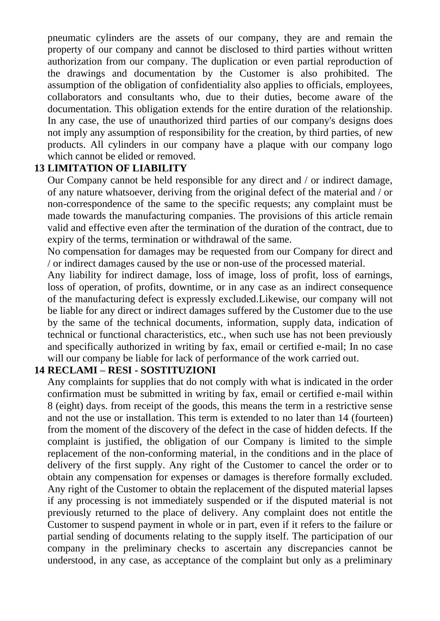pneumatic cylinders are the assets of our company, they are and remain the property of our company and cannot be disclosed to third parties without written authorization from our company. The duplication or even partial reproduction of the drawings and documentation by the Customer is also prohibited. The assumption of the obligation of confidentiality also applies to officials, employees, collaborators and consultants who, due to their duties, become aware of the documentation. This obligation extends for the entire duration of the relationship. In any case, the use of unauthorized third parties of our company's designs does not imply any assumption of responsibility for the creation, by third parties, of new products. All cylinders in our company have a plaque with our company logo which cannot be elided or removed.

### **13 LIMITATION OF LIABILITY**

Our Company cannot be held responsible for any direct and / or indirect damage, of any nature whatsoever, deriving from the original defect of the material and / or non-correspondence of the same to the specific requests; any complaint must be made towards the manufacturing companies. The provisions of this article remain valid and effective even after the termination of the duration of the contract, due to expiry of the terms, termination or withdrawal of the same.

No compensation for damages may be requested from our Company for direct and / or indirect damages caused by the use or non-use of the processed material.

Any liability for indirect damage, loss of image, loss of profit, loss of earnings, loss of operation, of profits, downtime, or in any case as an indirect consequence of the manufacturing defect is expressly excluded.Likewise, our company will not be liable for any direct or indirect damages suffered by the Customer due to the use by the same of the technical documents, information, supply data, indication of technical or functional characteristics, etc., when such use has not been previously and specifically authorized in writing by fax, email or certified e-mail; In no case will our company be liable for lack of performance of the work carried out.

#### **14 RECLAMI – RESI - SOSTITUZIONI**

Any complaints for supplies that do not comply with what is indicated in the order confirmation must be submitted in writing by fax, email or certified e-mail within 8 (eight) days. from receipt of the goods, this means the term in a restrictive sense and not the use or installation. This term is extended to no later than 14 (fourteen) from the moment of the discovery of the defect in the case of hidden defects. If the complaint is justified, the obligation of our Company is limited to the simple replacement of the non-conforming material, in the conditions and in the place of delivery of the first supply. Any right of the Customer to cancel the order or to obtain any compensation for expenses or damages is therefore formally excluded. Any right of the Customer to obtain the replacement of the disputed material lapses if any processing is not immediately suspended or if the disputed material is not previously returned to the place of delivery. Any complaint does not entitle the Customer to suspend payment in whole or in part, even if it refers to the failure or partial sending of documents relating to the supply itself. The participation of our company in the preliminary checks to ascertain any discrepancies cannot be understood, in any case, as acceptance of the complaint but only as a preliminary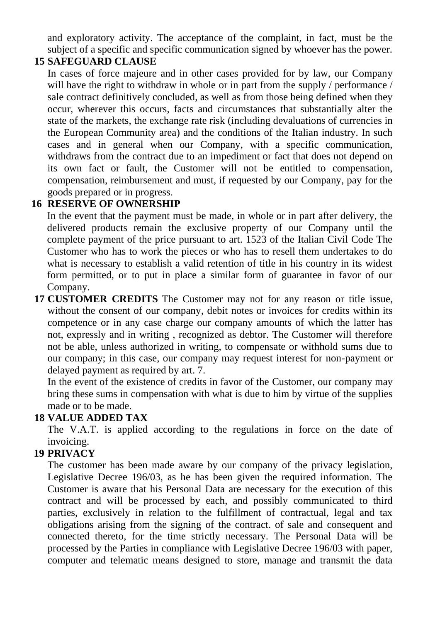and exploratory activity. The acceptance of the complaint, in fact, must be the subject of a specific and specific communication signed by whoever has the power.

## **15 SAFEGUARD CLAUSE**

In cases of force majeure and in other cases provided for by law, our Company will have the right to withdraw in whole or in part from the supply / performance / sale contract definitively concluded, as well as from those being defined when they occur, wherever this occurs, facts and circumstances that substantially alter the state of the markets, the exchange rate risk (including devaluations of currencies in the European Community area) and the conditions of the Italian industry. In such cases and in general when our Company, with a specific communication, withdraws from the contract due to an impediment or fact that does not depend on its own fact or fault, the Customer will not be entitled to compensation, compensation, reimbursement and must, if requested by our Company, pay for the goods prepared or in progress.

## **16 RESERVE OF OWNERSHIP**

In the event that the payment must be made, in whole or in part after delivery, the delivered products remain the exclusive property of our Company until the complete payment of the price pursuant to art. 1523 of the Italian Civil Code The Customer who has to work the pieces or who has to resell them undertakes to do what is necessary to establish a valid retention of title in his country in its widest form permitted, or to put in place a similar form of guarantee in favor of our Company.

**17 CUSTOMER CREDITS** The Customer may not for any reason or title issue, without the consent of our company, debit notes or invoices for credits within its competence or in any case charge our company amounts of which the latter has not, expressly and in writing , recognized as debtor. The Customer will therefore not be able, unless authorized in writing, to compensate or withhold sums due to our company; in this case, our company may request interest for non-payment or delayed payment as required by art. 7.

In the event of the existence of credits in favor of the Customer, our company may bring these sums in compensation with what is due to him by virtue of the supplies made or to be made.

# **18 VALUE ADDED TAX**

The V.A.T. is applied according to the regulations in force on the date of invoicing.

# **19 PRIVACY**

The customer has been made aware by our company of the privacy legislation, Legislative Decree 196/03, as he has been given the required information. The Customer is aware that his Personal Data are necessary for the execution of this contract and will be processed by each, and possibly communicated to third parties, exclusively in relation to the fulfillment of contractual, legal and tax obligations arising from the signing of the contract. of sale and consequent and connected thereto, for the time strictly necessary. The Personal Data will be processed by the Parties in compliance with Legislative Decree 196/03 with paper, computer and telematic means designed to store, manage and transmit the data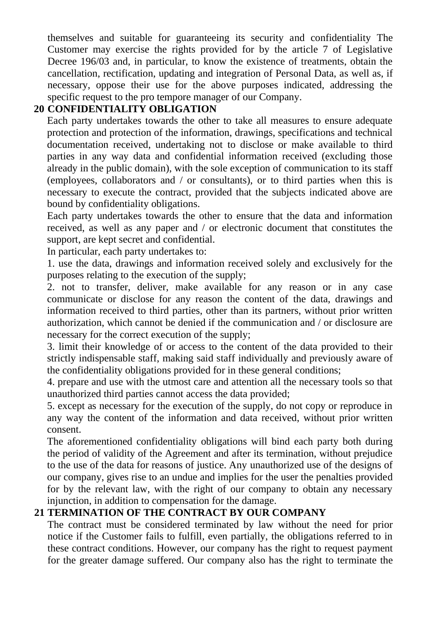themselves and suitable for guaranteeing its security and confidentiality The Customer may exercise the rights provided for by the article 7 of Legislative Decree 196/03 and, in particular, to know the existence of treatments, obtain the cancellation, rectification, updating and integration of Personal Data, as well as, if necessary, oppose their use for the above purposes indicated, addressing the specific request to the pro tempore manager of our Company.

### **20 CONFIDENTIALITY OBLIGATION**

Each party undertakes towards the other to take all measures to ensure adequate protection and protection of the information, drawings, specifications and technical documentation received, undertaking not to disclose or make available to third parties in any way data and confidential information received (excluding those already in the public domain), with the sole exception of communication to its staff (employees, collaborators and / or consultants), or to third parties when this is necessary to execute the contract, provided that the subjects indicated above are bound by confidentiality obligations.

Each party undertakes towards the other to ensure that the data and information received, as well as any paper and / or electronic document that constitutes the support, are kept secret and confidential.

In particular, each party undertakes to:

1. use the data, drawings and information received solely and exclusively for the purposes relating to the execution of the supply;

2. not to transfer, deliver, make available for any reason or in any case communicate or disclose for any reason the content of the data, drawings and information received to third parties, other than its partners, without prior written authorization, which cannot be denied if the communication and / or disclosure are necessary for the correct execution of the supply;

3. limit their knowledge of or access to the content of the data provided to their strictly indispensable staff, making said staff individually and previously aware of the confidentiality obligations provided for in these general conditions;

4. prepare and use with the utmost care and attention all the necessary tools so that unauthorized third parties cannot access the data provided;

5. except as necessary for the execution of the supply, do not copy or reproduce in any way the content of the information and data received, without prior written consent.

The aforementioned confidentiality obligations will bind each party both during the period of validity of the Agreement and after its termination, without prejudice to the use of the data for reasons of justice. Any unauthorized use of the designs of our company, gives rise to an undue and implies for the user the penalties provided for by the relevant law, with the right of our company to obtain any necessary injunction, in addition to compensation for the damage.

# **21 TERMINATION OF THE CONTRACT BY OUR COMPANY**

The contract must be considered terminated by law without the need for prior notice if the Customer fails to fulfill, even partially, the obligations referred to in these contract conditions. However, our company has the right to request payment for the greater damage suffered. Our company also has the right to terminate the